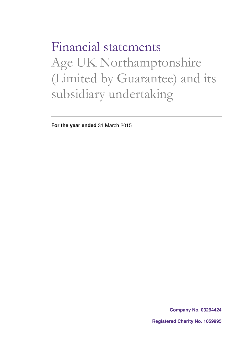Financial statements Age UK Northamptonshire (Limited by Guarantee) and its subsidiary undertaking

**For the year ended** 31 March 2015

**Company No. 03294424**

**Registered Charity No. 1059995**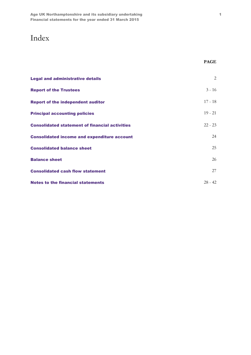# Index

| <b>Legal and administrative details</b>               | 2         |
|-------------------------------------------------------|-----------|
| <b>Report of the Trustees</b>                         | $3 - 16$  |
| <b>Report of the independent auditor</b>              | $17 - 18$ |
| <b>Principal accounting policies</b>                  | $19 - 21$ |
| <b>Consolidated statement of financial activities</b> | $22 - 23$ |
| <b>Consolidated income and expenditure account</b>    | 24        |
| <b>Consolidated balance sheet</b>                     | 25        |
| <b>Balance sheet</b>                                  | 26        |
| <b>Consolidated cash flow statement</b>               | 27        |
| Notes to the financial statements                     | $28 - 42$ |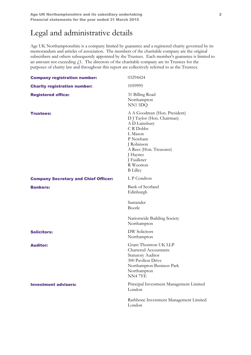# Legal and administrative details

Age UK Northamptonshire is a company limited by guarantee and a registered charity governed by its memorandum and articles of association. The members of the charitable company are the original subscribers and others subsequently appointed by the Trustees. Each member's guarantee is limited to an amount not exceeding  $f<sub>1</sub>$ . The directors of the charitable company are its Trustees for the purposes of charity law and throughout this report are collectively referred to as the Trustees.

| <b>Company registration number:</b>         | 03294424                                                                                                                                                                                                           |
|---------------------------------------------|--------------------------------------------------------------------------------------------------------------------------------------------------------------------------------------------------------------------|
| <b>Charity registration number:</b>         | 1059995                                                                                                                                                                                                            |
| <b>Registered office:</b>                   | 31 Billing Road<br>Northampton<br>NN1 5DQ                                                                                                                                                                          |
| <b>Trustees:</b>                            | A A Goodman (Hon. President)<br>D J Taylor (Hon. Chairman)<br>A D Lainsbury<br>C R Dobbs<br>L Mason<br>P Newham<br>J Robinson<br>A Rees (Hon. Treasurer)<br>J Haynes<br>J Faulkner<br>R Wootton<br><b>B</b> Lilley |
| <b>Company Secretary and Chief Officer:</b> | L P Condron                                                                                                                                                                                                        |
| <b>Bankers:</b>                             | <b>Bank of Scotland</b><br>Edinburgh                                                                                                                                                                               |
|                                             | Santander<br>Bootle                                                                                                                                                                                                |
|                                             | Nationwide Building Society<br>Northampton                                                                                                                                                                         |
| <b>Solicitors:</b>                          | <b>DW</b> Solicitors<br>Northampton                                                                                                                                                                                |
| <b>Auditor:</b>                             | Grant Thornton UK LLP<br><b>Chartered Accountants</b><br>Statutory Auditor<br>300 Pavilion Drive<br>Northampton Business Park<br>Northampton<br>NN47YE                                                             |
| <b>Investment advisers:</b>                 | Principal Investment Management Limited<br>London                                                                                                                                                                  |
|                                             | Rathbone Investment Management Limited<br>London                                                                                                                                                                   |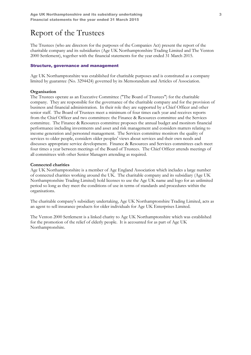The Trustees (who are directors for the purposes of the Companies Act) present the report of the charitable company and its subsidiaries (Age UK Northamptonshire Trading Limited and The Venton 2000 Settlement), together with the financial statements for the year ended 31 March 2015.

#### Structure, governance and management

Age UK Northamptonshire was established for charitable purposes and is constituted as a company limited by guarantee (No. 3294424) governed by its Memorandum and Articles of Association.

### **Organisation**

The Trustees operate as an Executive Committee ("The Board of Trustees") for the charitable company. They are responsible for the governance of the charitable company and for the provision of business and financial administration. In their role they are supported by a Chief Officer and other senior staff. The Board of Trustees meet a minimum of four times each year and receives reports from the Chief Officer and two committees: the Finance & Resources committee and the Services committee. The Finance & Resources committee proposes the annual budget and monitors financial performance including investments and asset and risk management and considers matters relating to income generation and personnel management. The Services committee monitors the quality of services to older people, considers older peoples' views about services and their own needs and discusses appropriate service development. Finance & Resources and Services committees each meet four times a year between meetings of the Board of Trustees. The Chief Officer attends meetings of all committees with other Senior Managers attending as required.

#### Connected charities

Age UK Northamptonshire is a member of Age England Association which includes a large number of connected charities working around the UK. The charitable company and its subsidiary (Age UK Northamptonshire Trading Limited) hold licenses to use the Age UK name and logo for an unlimited period so long as they meet the conditions of use in terms of standards and procedures within the organisations.

The charitable company's subsidiary undertaking, Age UK Northamptonshire Trading Limited, acts as an agent to sell insurance products for older individuals for Age UK Enterprises Limited.

The Venton 2000 Settlement is a linked charity to Age UK Northamptonshire which was established for the promotion of the relief of elderly people. It is accounted for as part of Age UK Northamptonshire.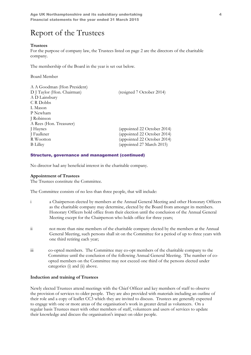### Trustees

For the purpose of company law, the Trustees listed on page 2 are the directors of the charitable company.

The membership of the Board in the year is set out below.

Board Member

| A A Goodman (Hon President) |                             |
|-----------------------------|-----------------------------|
| D J Taylor (Hon. Chairman)  | (resigned 7 October 2014)   |
| A D Lainsbury               |                             |
| C R Dobbs                   |                             |
| L Mason                     |                             |
| P Newham                    |                             |
| J Robinson                  |                             |
| A Rees (Hon. Treasurer)     |                             |
| J Haynes                    | (appointed 22 October 2014) |
| J Faulkner                  | (appointed 22 October 2014) |
| R Wootton                   | (appointed 22 October 2014) |
| <b>B</b> Lilley             | (appointed 27 March 2015)   |
|                             |                             |

### Structure, governance and management (continued)

No director had any beneficial interest in the charitable company.

### Appointment of Trustees

The Trustees constitute the Committee.

The Committee consists of no less than three people, that will include:

- i a Chairperson elected by members at the Annual General Meeting and other Honorary Officers as the charitable company may determine, elected by the Board from amongst its members. Honorary Officers hold office from their election until the conclusion of the Annual General Meeting except for the Chairperson who holds office for three years;
- ii not more than nine members of the charitable company elected by the members at the Annual General Meeting, such persons shall sit on the Committee for a period of up to three years with one third retiring each year;
- iii co-opted members. The Committee may co-opt members of the charitable company to the Committee until the conclusion of the following Annual General Meeting. The number of coopted members on the Committee may not exceed one third of the persons elected under categories (i) and (ii) above.

#### Induction and training of Trustees

Newly elected Trustees attend meetings with the Chief Officer and key members of staff to observe the provision of services to older people. They are also provided with materials including an outline of their role and a copy of leaflet CC3 which they are invited to discuss. Trustees are generally expected to engage with one or more areas of the organisation's work in greater detail as volunteers. On a regular basis Trustees meet with other members of staff, volunteers and users of services to update their knowledge and discuss the organisation's impact on older people.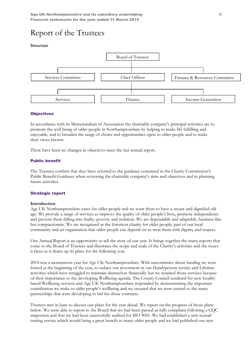#### Structure



#### **Objectives**

In accordance with its Memorandum of Association the charitable company's principal activities are to promote the well being of older people in Northamptonshire by helping to make life fulfilling and enjoyable, and to broaden the range of choice and opportunities open to older people and to make their views known.

There have been no changes in objectives since the last annual report.

#### Public benefit

The Trustees confirm that they have referred to the guidance contained in the Charity Commission's Public Benefit Guidance when reviewing the charitable company's aims and objectives and in planning future activities.

#### Strategic report

#### Introduction

Age UK Northamptonshire cares for older people and we want them to have a secure and dignified old age. We provide a range of services to improve the quality of older people's lives, promote independence and prevent them falling into frailty, poverty and isolation. We are dependable and adaptable, business-like but compassionate. We are recognised as the foremost charity for older people, part of our local community and an organisation that older people can depend on to treat them with dignity and respect.

Our Annual Report is an opportunity to tell the story of our year. It brings together the many reports that come to the Board of Trustees and illustrates the scope and scale of the Charity's activities and the issues it faces as it draws up its plans for the following year.

2014 was a momentous year for Age UK Northamptonshire. With uncertainties about funding we were forced at the beginning of the year, to reduce our investment in our Handyperson service and Lifetime activities which have struggled to maintain themselves financially but we retained those services because of their importance to the developing Wellbeing agenda. The County Council tendered for new locality based Wellbeing services and Age UK Northamptonshire responded by demonstrating the important contribution we make to older people's wellbeing and we ensured that we were central to the many partnerships that were developing to bid for those contracts.

Trustees met in June to discuss our plans for the year ahead. We report on the progress of those plans below. We were able to report to the Board that we had been passed as fully compliant following a CQC inspection and that we had been successfully audited for ISO 9001. We had established a new toenail cutting service which would bring a great benefit to many older people and we had published our new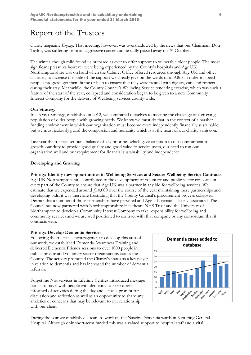charity magazine Engage. That meeting, however, was overshadowed by the news that our Chairman, Don Taylor, was suffering from an aggressive cancer and he sadly passed away on  $7<sup>th</sup>$  October.

The winter, though mild found us prepared as ever to offer support to vulnerable older people. The most significant pressures however were being experienced by the County's hospitals and Age UK Northamptonshire was on hand when the Cabinet Office offered resources through Age UK and other charities, to increase the scale of the support we already give on the wards or in A&E in order to speed peoples progress, get them home or help to ensure that they were treated with dignity, care and respect during their stay. Meanwhile, the County Council's Wellbeing Service tendering exercise, which was such a feature of the start of the year, collapsed and consideration began to be given to a new Community Interest Company for the delivery of Wellbeing services county-wide.

#### Our Strategy

In a 5 year Strategy, established in 2012, we committed ourselves to meeting the challenge of a growing population of older people with growing needs. We know we must do that in the context of a harsher funding environment in which our organisation must become more independently financially sustainable but we must jealously guard the compassion and humanity which is at the heart of our charity's mission.

Last year the trustees set out a balance of key priorities which gave attention to our commitment to growth, our duty to provide good quality and good value to service users, our need to run our organisation well and our requirement for financial sustainability and independence.

### Developing and Growing

Priority: Identify new opportunities in Wellbeing Services and Secure Wellbeing Service Contracts Age UK Northamptonshire contributed to the development of voluntary and public sector consortia in every part of the County to ensure that Age UK was a partner in any bid for wellbeing services. We estimate that we expended around  $\dot{\gamma}$ 10,000 over the course of the year maintaining these partnerships and developing bids, it was therefore frustrating that the County Council's procurement process collapsed. Despite this a number of those partnerships have persisted and Age UK remains closely associated. The Council has now partnered with Northamptonshire Healthcare NHS Trust and the University of Northampton to develop a Community Interest Company to take responsibility for wellbeing and community services and we are well positioned to contract with that company or any consortium that it contracts with.

#### Priority: Develop Dementia Services

Following the trustees' encouragement to develop this area of our work, we established Dementia Awareness Training and delivered Dementia Friends sessions to over 1000 people in public, private and voluntary sector organisations across the County. The activity promoted the Charity's status as a key player in relation to dementia and has increased the number of dementia referrals.

Forget me Not services in Lifetime Centres introduced message books to travel with people with dementia to keep carers informed of activities during the day and act as a prompt for discussion and reflection as well as an opportunity to share any anxieties or concerns that may be relevant to our relationship with our client.



During the year we established a team to work on the Naseby Dementia wards in Kettering General Hospital. Although only short-term funded this was a valued support to hospital staff and a vital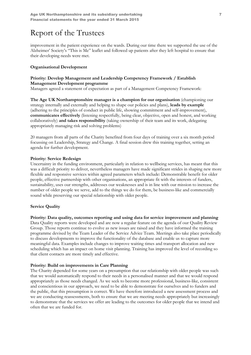improvement in the patient experience on the wards. During our time there we supported the use of the Alzheimer' Society's "This is Me" leaflet and followed up patients after they left hospital to ensure that their developing needs were met.

### Organisational Development

### Priority: Develop Management and Leadership Competency Framework / Establish Management Development programme

Managers agreed a statement of expectation as part of a Management Competency Framework:

The Age UK Northamptonshire manager is a champion for our organisation (championing our strategy internally and externally and helping to shape our policies and plans), leads by example (adhering to the principles of conduct in public life, showing commitment and self-improvement), communicates effectively (listening respectfully, being clear, objective, open and honest, and working collaboratively) and takes responsibility (taking ownership of their team and its work, delegating appropriately managing risk and solving problems)

20 managers from all parts of the Charity benefited from four days of training over a six month period focussing on Leadership, Strategy and Change. A final session drew this training together, setting an agenda for further development.

### Priority: Service Redesign

Uncertainty in the funding environment, particularly in relation to wellbeing services, has meant that this was a difficult priority to deliver, nevertheless managers have made significant strides in shaping new more flexible and responsive services within agreed parameters which include: Demonstrable benefit for older people, effective partnership with other organisations, an appropriate fit with the interests of funders, sustainability, uses our strengths, addresses our weaknesses and is in line with our mission to increase the number of older people we serve, add to the things we do for them, be business-like and commercially sound while preserving our special relationship with older people.

## Service Quality

## Priority: Data quality, outcomes reporting and using data for service improvement and planning

Data Quality reports were developed and are now a regular feature on the agenda of our Quality Review Group. Those reports continue to evolve as new issues are raised and they have informed the training programme devised by the Team Leader of the Service Advice Team. Meetings also take place periodically to discuss developments to improve the functionality of the database and enable us to capture more meaningful data. Examples include changes to improve waiting times and transport allocation and new scheduling which has an impact on home visit planning. Training has improved the level of recording so that client contacts are more timely and effective.

#### Priority: Build on improvements in Care Planning

The Charity depended for some years on a presumption that our relationship with older people was such that we would automatically respond to their needs in a personalised manner and that we would respond appropriately as those needs changed. As we seek to become more professional, business-like, consistent and conscientious in our approach, we need to be able to demonstrate for ourselves and to funders and the public, that this presumption is correct. We have therefore introduced a new assessment process and we are conducting reassessments, both to ensure that we are meeting needs appropriately but increasingly to demonstrate that the services we offer are leading to the outcomes for older people that we intend and often that we are funded for.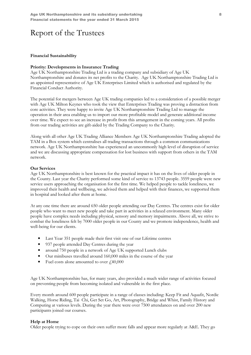#### Financial Sustainability

#### Priority: Developments in Insurance Trading

Age UK Northamptonshire Trading Ltd is a trading company and subsidiary of Age UK Northamptonshire and donates its net profits to the Charity. Age UK Northamptonshire Trading Ltd is an appointed representative of Age UK Enterprises Limited which is authorised and regulated by the Financial Conduct Authority.

The potential for mergers between Age UK trading companies led to a consideration of a possible merger with Age UK Milton Keynes who took the view that Enterprises Trading was proving a distraction from core activities. They were happy to invite Age UK Northamptonshire Trading Ltd to manage the operation in their area enabling us to import our more profitable model and generate additional income over time. We expect to see an increase in profit from this arrangement in the coming years. All profits from our trading activities are gift-aided by the Trading Company to the Charity.

Along with all other Age UK Trading Alliance Members Age UK Northamptonshire Trading adopted the TAM in a Box system which centralises all trading transactions through a common communications network. Age UK Northamptonshire has experienced an uncommonly high level of disruption of service and we are discussing appropriate compensation for lost business with support from others in the TAM network.

#### Our Services

Age UK Northamptonshire is best known for the practical impact it has on the lives of older people in the County. Last year the Charity performed some kind of service to 13743 people. 3559 people were new service users approaching the organisation for the first time. We helped people to tackle loneliness, we improved their health and wellbeing, we advised them and helped with their finances, we supported them in hospital and looked after them at home.

At any one time there are around 650 older people attending our Day Centres. The centres exist for older people who want to meet new people and take part in activities in a relaxed environment. Many older people have complex needs including physical, sensory and memory impairments. Above all, we strive to combat the loneliness felt by 7000 older people in our County and we promote independence, health and well-being for our clients.

- Last Year 351 people made their first visit one of our Lifetime centres
- 937 people attended Day Centres during the year
- around 750 people in a network of Age UK supported Lunch clubs
- Our minibuses travelled around 160,000 miles in the course of the year
- Fuel costs alone amounted to over  $f<sub>1</sub>40,000$

Age UK Northamptonshire has, for many years, also provided a much wider range of activities focused on preventing people from becoming isolated and vulnerable in the first place.

Every month around 600 people participate in a range of classes including: Keep Fit and Aquafit, Nordic Walking, Horse Riding, Tai Chi, Get Set Go, Art, Photography, Bridge and Whist, Family History and Computing at various levels. During the year there were over 7500 attendances on and over 200 new participants joined our courses.

#### Help at Home

Older people trying to cope on their own suffer more falls and appear more regularly at A&E. They go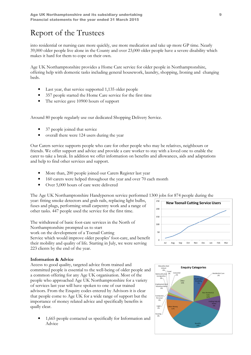into residential or nursing care more quickly, use more medication and take up more GP time. Nearly 39,000 older people live alone in the County and over 23,000 older people have a severe disability which makes it hard for them to cope on their own.

Age UK Northamptonshire provides a Home Care service for older people in Northamptonshire, offering help with domestic tasks including general housework, laundry, shopping, Ironing and changing beds.

- Last year, that service supported 1,135 older people
- 357 people started the Home Care service for the first time
- The service gave 10900 hours of support

Around 80 people regularly use our dedicated Shopping Delivery Service.

- 37 people joined that service
- overall there were 124 users during the year

Our Carers service supports people who care for other people who may be relatives, neighbours or friends. We offer support and advice and provide a care worker to stay with a loved one to enable the carer to take a break. In addition we offer information on benefits and allowances, aids and adaptations and help to find other services and support.

- More than, 200 people joined our Carers Register last year
- 160 carers were helped throughout the year and over 70 each month
- Over 5,000 hours of care were delivered

The Age UK Northamptonshire Handyperson service performed 1300 jobs for 874 people during the

year: fitting smoke detectors and grab rails, replacing light bulbs, fuses and plugs, performing small carpentry work and a range of other tasks. 447 people used the service for the first time.

The withdrawal of basic foot-care services in the North of Northamptonshire prompted us to start work on the development of a Toenail Cutting Service which would improve older peoples' foot-care, and benefit

their mobility and quality of life. Starting in July, we were serving 223 clients by the end of the year.



## Information & Advice

Access to good quality, targeted advice from trained and committed people is essential to the well-being of older people and a common offering for any Age UK organisation. Most of the people who approached Age UK Northamptonshire for a variety of services last year will have spoken to one of our trained advisors. From the Enquiry codes entered by Advisors it is clear that people come to Age UK for a wide range of support but the importance of money related advice and specifically benefits is qually clear.

• 1,665 people contacted us specifically for Information and Advice

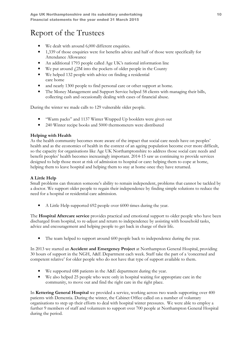- We dealt with around 6,000 different enquiries.
- 1,339 of those enquiries were for benefits advice and half of those were specifically for Attendance Allowance
- An additional 1793 people called Age UK's national information line
- We put around  $f2M$  into the pockets of older people in the County
- We helped 132 people with advice on finding a residential care home
- and nearly 1300 people to find personal care or other support at home.
- The Money Management and Support Service helped 58 clients with managing their bills, collecting cash and occasionally dealing with cases of financial abuse.

During the winter we made calls to 129 vulnerable older people.

- "Warm packs" and 1137 Winter Wrapped Up booklets were given out
- 240 Winter recipe books and 5000 thermometers were distributed

# Helping with Health

As the health community becomes more aware of the impact that social care needs have on peoples' health and as the economics of health in the context of an ageing population become ever more difficult, so the capacity for organisations like Age UK Northamptonshire to address those social care needs and benefit peoples' health becomes increasingly important. 2014-15 saw us continuing to provide services designed to help those most at risk of admission to hospital or care: helping them to cope at home, helping them to leave hospital and helping them to stay at home once they have returned.

# A Little Help

Small problems can threaten someone's ability to remain independent, problems that cannot be tackled by a doctor. We support older people to regain their independence by finding simple solutions to reduce the need for a hospital or residential care admission.

• A Little Help supported 692 people over 6000 times during the year.

The **Hospital Aftercare service** provides practical and emotional support to older people who have been discharged from hospital, to re-adjust and return to independence by assisting with household tasks, advice and encouragement and helping people to get back in charge of their life.

The team helped to support around 600 people back to independence during the year.

In 2013 we started an Accident and Emergency Project at Northampton General Hospital, providing 30 hours of support in the NGH, A&E Department each week. Staff take the part of a 'concerned and competent relative' for older people who do not have that type of support available to them.

- We supported 688 patients in the A&E department during the year.
- We also helped 25 people who were only in hospital waiting for appropriate care in the community, to move out and find the right care in the right place.

In Kettering General Hospital we provided a service, working across two wards supporting over 400 patients with Dementia. During the winter, the Cabinet Office called on a number of voluntary organisations to step up their efforts to deal with hospital winter pressures. We were able to employ a further 9 members of staff and volunteers to support over 700 people at Northampton General Hospital during the period.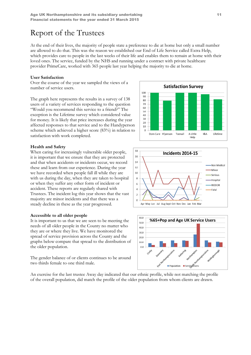At the end of their lives, the majority of people state a preference to die at home but only a small number are allowed to do that. This was the reason we established our End of Life Service called Extra Help, which provides care to people in the last weeks of their life and enables them to remain at home with their loved ones. The service, funded by the NHS and running under a contract with private healthcare provider PrimeCare, worked with 365 people last year helping the majority to die at home.

#### User Satisfaction

Over the course of the year we sampled the views of a number of service users.

The graph here represents the results in a survey of 138 users of a variety of services responding to the question "Would you recommend this service to a friend?" The exception is the Lifetime survey which considered value for money. It is likely that price increases during the year affected responses to that service and to the Handyperson scheme which achieved a higher score (83%) in relation to satisfaction with work completed.

#### Health and Safety

When caring for increasingly vulnerable older people, it is important that we ensure that they are protected and that when accidents or incidents occur, we record these and learn from our experience. During the year we have recorded when people fall ill while they are with us during the day, when they are taken to hospital or when they suffer any other form of incident or accident. These reports are regularly shared with Trustees. The incident log this year shows that the vast majority are minor incidents and that there was a steady decline in these as the year progressed.

#### Accessible to all older people

It is important to us that we are seen to be meeting the needs of all older people in the County no matter who they are or where they live. We have monitored the spread of service provision across the County and the graphs below compare that spread to the distribution of the older population.

The gender balance of or clients continues to be around two thirds female to one third male.

An exercise for the last trustee Away day indicated that our ethnic profile, while not matching the profile of the overall population, did match the profile of the older population from whom clients are drawn.





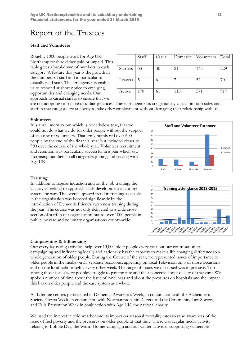### Staff and Volunteers

Roughly 1000 people work for Age UK Northamptonshire either paid or unpaid. This table gives a breakdown of numbers in each category. A feature this year is the growth in the numbers of staff and in particular of casually paid staff. The arrangements enable us to respond at short notice to emerging opportunities and changing needs. Our approach to casual staff is to ensure that we

|                 | Staff | Casual | Domestic | Volunteers | Total |
|-----------------|-------|--------|----------|------------|-------|
| <b>Starters</b> | 33    | 30     | 21       | 145        | 229   |
| Leavers         | 5     |        |          | 52         |       |
| Active          | 170   | 61     | 115      | 571        | 917   |

are not adopting restrictive or unfair practices. These arrangements are genuinely casual on both sides and staff in that category are at liberty to take other employment without damaging their relationship with us.

#### Volunteers

It is a well worn axiom which is nonetheless true, that we could not do what we do for older people without the support of an army of volunteers. That army numbered over 600 people by the end of the financial year but included closer to 900 over the course of the whole year. Volunteer recruitment and retention was particularly successful in a year which saw increasing numbers in all categories joining and staying with Age UK.





In addition to regular induction and on the job training, the Charity is seeking to approach skills development in a more systematic way. The overall upward trend in training available in the organisation was boosted significantly by the introduction of Dementia Friends awareness training during the year. The course was not only delivered to a wide crosssection of staff in our organisation but to over 1000 people in public, private and voluntary organisations county-wide.

#### Campaigning & Influencing

Our everyday caring activities help over 13,000 older people every year but our contribution to campaigning and influencing locally and nationally has the capacity to make a life changing difference to a whole generation of older people. During the Course of the year, we represented issues of importance to older people in the media on 33 separate occasions, appearing on local Television on 5 of those occasions and on the local radio roughly every other week. The range of issues we discussed was impressive. Top among those issues were peoples struggle to pay for care and their concerns about quality of that care. We spoke a number of time about the issue of loneliness and about the pressures on hospitals and the impact this has on older people and the care system as a whole.

All Lifetime centres participated in Dementia Awareness Week, in conjunction with the Alzheimer's Society, Carers Week, in conjunction with Northamptonshire Carers and the Community Law Society, and Falls Prevention Week in conjunction with Age UK, the national charity.

We used the interest in cold weather and its impact on seasonal mortality rates to raise awareness of the issue of fuel poverty and the pressures on older people at that time. There was regular media activity relating to Bobble Day, the Warm Homes campaign and our winter activities supporting vulnerable

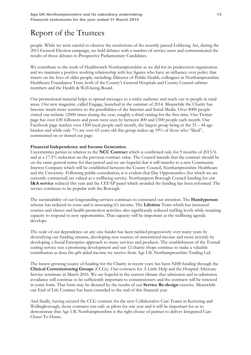people. While we were careful to observe the restrictions of the recently passed Lobbying Act, during the 2015 General Election campaign, we held debates with a number of service users and communicated the results of those debates to Prospective Parliamentary Candidates.

We contribute to the work of Healthwatch Northamptonshire as we did for its predecessor organisation and we maintain a positive working relationship with key figures who have an influence over policy that imacts on the lives of older people, including: Director of Public Health, colleagues in Northamptonshire Healthcare Foundation Trust, both of the County's General Hospitals and County Council cabinet members and the Health & Well-being Board.

Our promotional material helps to spread messages to a wider audience and reach out to people in rural areas. Our new magazine, called Engage, launched in the summer of 2014. Meanwhile the Charity has become much more sensitive to the possibilities of the Internet and Social Media. Over 8000 people visited our website 12000 times during the year, roughly a third visiting for the first time. Our Twitter page has over 630 followers and posts were seen by between 400 and 1500 people each month. Our Facebook page reaches over 1500 local people each month, the largest group being in the 35 – 44 age bracket and while only 7% are over 65 years old this group makes up 19% of those who "liked", commented on or shared our page.

### Financial Independence and Income Generation

Uncertainties persist in relation to the NCC Contract which is confirmed only for 9 months of 2015/6 and at a 17.5% reduction on the previous contract value. The Council intends that the contract should be on the same general terms for that period and we are hopeful that it will transfer to a new Community Interest Company which will be established between the County Council, Northamptonshire Healthcare and the University. Following public consultation, it is evident that Day Opportunities (for which we are currently contracted) are valued as a wellbeing service. Northampton Borough Council funding for our I&A service reduced this year and the CEFAP panel which awarded the funding has been reformed. The service continues to be popular with the Borough.

The sustainability of our longstanding services continues to command our attention. The **Handyperson** scheme has reduced its costs and is increasing it's income. The Lifetime Team which has increased courses and classes and health promotion activities also significantly reduced staffing levels while retaining capacity to respond to new opportunities. That capacity will be important as the wellbeing agenda develops.

The scale of our dependence on any one funder has been tackled progressively over many years by diversifying our funding streams, developing new sources of unrestricted income and more recently by developing a Social Enterprise approach to many services and products. The establishment of the Toenail cutting service was a promising development and our 12 charity shops continue to make a valuable contribution as does the gift-aided income we receive from Age UK Northamptonshire Trading Ltd.

The fastest growing source of funding for the Charity in recent years has been NHS funding through the Clinical Commissioning Groups (CCGs). Our contracts for A Little Help and the Hospital Aftercare Service terminate in March 2016. We are hopeful in the current climate that admission and re-admission avoidance will continue to be sufficiently important to commissioners and the contracts will be renewed in some form. That form may be dictated by the results of our **Service Re-design** exercise. Meanwhile our End of Life Contract has been extended to the end of this financial year.

And finally, having secured the CCG contract for the new Collaborative Care Teams in Kettering and Wellingborough, those contracts run only as pilots for one year and it will be important for us to demonstrate that Age UK Northamptonshire is the right choice of partner to deliver Integrated Care Closer To Home.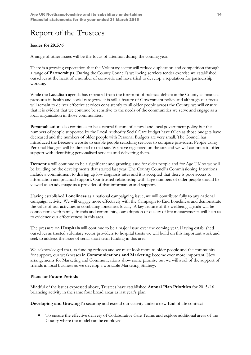## Issues for 2015/6

A range of other issues will be the focus of attention during the coming year.

There is a growing expectation that the Voluntary sector will reduce duplication and competition through a range of Partnerships. During the County Council's wellbeing services tender exercise we established ourselves at the heart of a number of consortia and have tried to develop a reputation for partnership working.

While the Localism agenda has retreated from the forefront of political debate in the County as financial pressures in health and social care grow, it is still a feature of Government policy and although our focus will remain to deliver effective services consistently to all older people across the County, we will ensure that it is evident that we continue be sensitive to the needs of the communities we serve and engage as a local organisation in those communities.

Personalisation also continues to be a central feature of central and local government policy but the numbers of people supported by the Local Authority Social Care budget have fallen as those budgets have decreased and the numbers of older people with Personal Budgets are very small. The Council has introduced the Breeze-e website to enable people searching services to compare providers. People using Personal Budgets will be directed to that site. We have registered on the site and we will continue to offer support with identifying personalised services and delivering them.

Dementia will continue to be a significant and growing issue for older people and for Age UK so we will be building on the developments that started last year. The County Council's Commissioning Intentions include a commitment to driving up low diagnosis rates and it is accepted that there is poor access to information and practical support. Our trusted relationship with large numbers of older people should be viewed as an advantage as a provider of that information and support.

Having established Loneliness as a national campaigning issue, we will contribute fully to any national campaign activity. We will engage more effectively with the Campaign to End Loneliness and demonstrate the value of our activities in combating loneliness locally. A key feature of the wellbeing agenda will be connections with family, friends and community, our adoption of quality of life measurements will help us to evidence our effectiveness in this area.

The pressure on Hospitals will continue to be a major issue over the coming year. Having established ourselves as trusted voluntary sector providers to hospital trusts we will build on this important work and seek to address the issue of serial short term funding in this area.

We acknowledged that, as funding reduces and we must look more to older people and the community for support, our weaknesses in Communications and Marketing become ever more important. New arrangements for Marketing and Communications show some promise but we will avail of the support of friends in local business as we develop a workable Marketing Strategy.

## Plans for Future Periods

Mindful of the issues expressed above, Trustees have established Annual Plan Priorities for 2015/16 balancing activity in the same four broad areas as last year's plan.

Developing and GrowingTo securing and extend our activity under a new End of life contract

• To ensure the effective delivery of Collaborative Care Teams and explore additional areas of the County where the model can be employed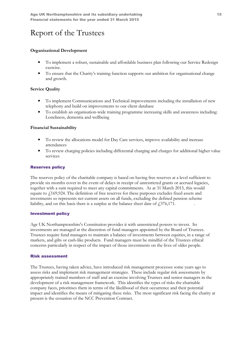## Organisational Development

- To implement a robust, sustainable and affordable business plan following our Service Redesign exercise.
- To ensure that the Charity's training function supports our ambition for organisational change and growth.

## Service Quality

- To implement Communications and Technical improvements including the installation of new telephony and build on improvements to our client database
- To establish an organisation-wide training programme increasing skills and awareness including: Loneliness, dementia and wellbeing

## Financial Sustainability

- To review the allocations model for Day Care services, improve availability and increase attendances
- To review charging policies including differential charging and charges for additional higher value services

### Reserves policy

The reserves policy of the charitable company is based on having free reserves at a level sufficient to provide six months cover in the event of delays in receipt of unrestricted grants or accrued legacies, together with a sum required to meet any capital commitments. As at 31 March 2015, this would equate to £169,924. The definition of free reserves for these purposes excludes fixed assets and investments so represents net current assets on all funds, excluding the defined pension scheme liability, and on this basis there is a surplus at the balance sheet date of  $\text{\textsterling}376,171$ .

#### Investment policy

Age UK Northamptonshire's Constitution provides it with unrestricted powers to invest. Its investments are managed at the discretion of fund managers appointed by the Board of Trustees. Trustees require fund managers to maintain a balance of investments between equities, in a range of markets, and gilts or cash-like products. Fund managers must be mindful of the Trustees ethical concerns particularly in respect of the impact of those investments on the lives of older people.

#### Risk assessment

The Trustees, having taken advice, have introduced risk management processes some years ago to assess risks and implement risk management strategies. These include regular risk assessments by appropriately trained members of staff and an exercise involving Trustees and senior managers in the development of a risk management framework. This identifies the types of risks the charitable company faces, prioritises them in terms of the likelihood of their occurrence and their potential impact and identifies the means of mitigating these risks. The most significant risk facing the charity at present is the cessation of the NCC Prevention Contract.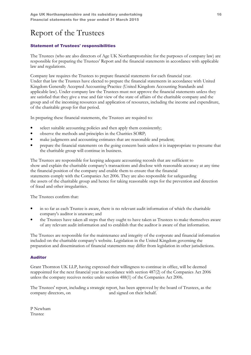# Statement of Trustees' responsibilities

The Trustees (who are also directors of Age UK Northamptonshire for the purposes of company law) are responsible for preparing the Trustees' Report and the financial statements in accordance with applicable law and regulations.

Company law requires the Trustees to prepare financial statements for each financial year. Under that law the Trustees have elected to prepare the financial statements in accordance with United Kingdom Generally Accepted Accounting Practice (United Kingdom Accounting Standards and applicable law). Under company law the Trustees must not approve the financial statements unless they are satisfied that they give a true and fair view of the state of affairs of the charitable company and the group and of the incoming resources and application of resources, including the income and expenditure, of the charitable group for that period.

In preparing these financial statements, the Trustees are required to:

- select suitable accounting policies and then apply them consistently;
- observe the methods and principles in the Charities SORP;
- make judgments and accounting estimates that are reasonable and prudent;
- prepare the financial statements on the going concern basis unless it is inappropriate to presume that the charitable group will continue in business.

The Trustees are responsible for keeping adequate accounting records that are sufficient to show and explain the charitable company's transactions and disclose with reasonable accuracy at any time the financial position of the company and enable them to ensure that the financial statements comply with the Companies Act 2006. They are also responsible for safeguarding the assets of the charitable group and hence for taking reasonable steps for the prevention and detection of fraud and other irregularities.

The Trustees confirm that:

- in so far as each Trustee is aware, there is no relevant audit information of which the charitable company's auditor is unaware; and
- the Trustees have taken all steps that they ought to have taken as Trustees to make themselves aware of any relevant audit information and to establish that the auditor is aware of that information.

The Trustees are responsible for the maintenance and integrity of the corporate and financial information included on the charitable company's website. Legislation in the United Kingdom governing the preparation and dissemination of financial statements may differ from legislation in other jurisdictions.

## Auditor

Grant Thornton UK LLP, having expressed their willingness to continue in office, will be deemed reappointed for the next financial year in accordance with section 487(2) of the Companies Act 2006 unless the company receives notice under section 488(1) of the Companies Act 2006.

The Trustees' report, including a strategic report, has been approved by the board of Trustees, as the company directors, on and signed on their behalf.

P Newham Trustee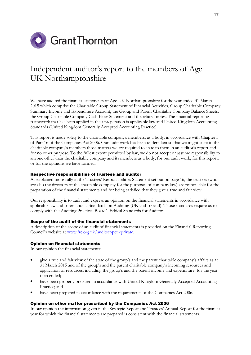

# Independent auditor's report to the members of Age UK Northamptonshire

We have audited the financial statements of Age UK Northamptonshire for the year ended 31 March 2015 which comprise the Charitable Group Statement of Financial Activities, Group Charitable Company Summary Income and Expenditure Account, the Group and Parent Charitable Company Balance Sheets, the Group Charitable Company Cash Flow Statement and the related notes. The financial reporting framework that has been applied in their preparation is applicable law and United Kingdom Accounting Standards (United Kingdom Generally Accepted Accounting Practice).

This report is made solely to the charitable company's members, as a body, in accordance with Chapter 3 of Part 16 of the Companies Act 2006. Our audit work has been undertaken so that we might state to the charitable company's members those matters we are required to state to them in an auditor's report and for no other purpose. To the fullest extent permitted by law, we do not accept or assume responsibility to anyone other than the charitable company and its members as a body, for our audit work, for this report, or for the opinions we have formed.

#### Respective responsibilities of trustees and auditor

As explained more fully in the Trustees' Responsibilities Statement set out on page 16, the trustees (who are also the directors of the charitable company for the purposes of company law) are responsible for the preparation of the financial statements and for being satisfied that they give a true and fair view.

Our responsibility is to audit and express an opinion on the financial statements in accordance with applicable law and International Standards on Auditing (UK and Ireland). Those standards require us to comply with the Auditing Practices Board's Ethical Standards for Auditors.

#### Scope of the audit of the financial statements

A description of the scope of an audit of financial statements is provided on the Financial Reporting Council's website at www.frc.org.uk/auditscopeukprivate.

#### Opinion on financial statements

In our opinion the financial statements:

- give a true and fair view of the state of the group's and the parent charitable company's affairs as at 31 March 2015 and of the group's and the parent charitable company's incoming resources and application of resources, including the group's and the parent income and expenditure, for the year then ended;
- have been properly prepared in accordance with United Kingdom Generally Accepted Accounting Practice; and
- have been prepared in accordance with the requirements of the Companies Act 2006.

#### Opinion on other matter prescribed by the Companies Act 2006

In our opinion the information given in the Strategic Report and Trustees' Annual Report for the financial year for which the financial statements are prepared is consistent with the financial statements.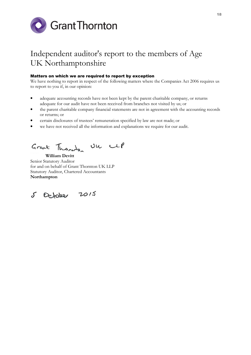

# Independent auditor's report to the members of Age UK Northamptonshire

### Matters on which we are required to report by exception

We have nothing to report in respect of the following matters where the Companies Act 2006 requires us to report to you if, in our opinion:

- adequate accounting records have not been kept by the parent charitable company, or returns adequate for our audit have not been received from branches not visited by us; or
- the parent charitable company financial statements are not in agreement with the accounting records or returns; or
- certain disclosures of trustees' remuneration specified by law are not made; or
- we have not received all the information and explanations we require for our audit.

Grant Thomas Un UP

 William Devitt Senior Statutory Auditor for and on behalf of Grant Thornton UK LLP Statutory Auditor, Chartered Accountants Northampton

5 October 2015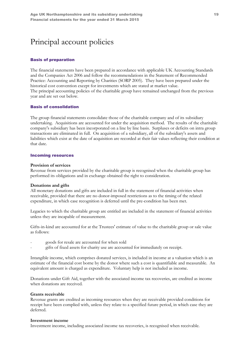# Principal account policies

### Basis of preparation

The financial statements have been prepared in accordance with applicable UK Accounting Standards and the Companies Act 2006 and follow the recommendations in the Statement of Recommended Practice: Accounting and Reporting by Charities (SORP 2005). They have been prepared under the historical cost convention except for investments which are stated at market value. The principal accounting policies of the charitable group have remained unchanged from the previous year and are set out below.

#### Basis of consolidation

The group financial statements consolidate those of the charitable company and of its subsidiary undertaking. Acquisitions are accounted for under the acquisition method. The results of the charitable company's subsidiary has been incorporated on a line by line basis. Surpluses or deficits on intra group transactions are eliminated in full. On acquisition of a subsidiary, all of the subsidiary's assets and liabilities which exist at the date of acquisition are recorded at their fair values reflecting their condition at that date.

#### Incoming resources

#### Provision of services

Revenue from services provided by the charitable group is recognised when the charitable group has performed its obligations and in exchange obtained the right to consideration.

#### Donations and gifts

All monetary donations and gifts are included in full in the statement of financial activities when receivable, provided that there are no donor-imposed restrictions as to the timing of the related expenditure, in which case recognition is deferred until the pre-condition has been met.

Legacies to which the charitable group are entitled are included in the statement of financial activities unless they are incapable of measurement.

Gifts-in-kind are accounted for at the Trustees' estimate of value to the charitable group or sale value as follows:

- goods for resale are accounted for when sold
- gifts of fixed assets for charity use are accounted for immediately on receipt.

Intangible income, which comprises donated services, is included in income at a valuation which is an estimate of the financial cost borne by the donor where such a cost is quantifiable and measurable. An equivalent amount is charged as expenditure. Voluntary help is not included as income.

Donations under Gift Aid, together with the associated income tax recoveries, are credited as income when donations are received.

#### Grants receivable

Revenue grants are credited as incoming resources when they are receivable provided conditions for receipt have been complied with, unless they relate to a specified future period, in which case they are deferred.

#### Investment income

Investment income, including associated income tax recoveries, is recognised when receivable.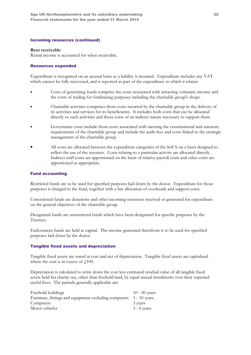#### Incoming resources (continued)

#### Rent receivable

Rental income is accounted for when receivable.

#### Resources expended

Expenditure is recognised on an accrual basis as a liability is incurred. Expenditure includes any VAT which cannot be fully recovered, and is reported as part of the expenditure to which it relates:

- Costs of generating funds comprise the costs associated with attracting voluntary income and the costs of trading for fundraising purposes including the charitable group's shops.
- Charitable activities comprises those costs incurred by the charitable group in the delivery of its activities and services for its beneficiaries. It includes both costs that can be allocated directly to such activities and those costs of an indirect nature necessary to support them.
- Governance costs include those costs associated with meeting the constitutional and statutory requirements of the charitable group and include the audit fees and costs linked to the strategic management of the charitable group.
- All costs are allocated between the expenditure categories of the SoFA on a basis designed to reflect the use of the resource. Costs relating to a particular activity are allocated directly. Indirect staff costs are apportioned on the basis of relative payroll costs and other costs are apportioned as appropriate.

#### Fund accounting

Restricted funds are to be used for specified purposes laid down by the donor. Expenditure for those purposes is charged to the fund, together with a fair allocation of overheads and support costs.

Unrestricted funds are donations and other incoming resources received or generated for expenditure on the general objectives of the charitable group.

Designated funds are unrestricted funds which have been designated for specific purposes by the Trustees.

Endowment funds are held as capital. The income generated therefrom is to be used for specified purposes laid down by the donor.

#### Tangible fixed assets and depreciation

Tangible fixed assets are stated at cost and net of depreciation. Tangible fixed assets are capitalised where the cost is in excess of  $f$ 100.

Depreciation is calculated to write down the cost less estimated residual value of all tangible fixed assets held for charity use, other than freehold land, by equal annual instalments over their expected useful lives. The periods generally applicable are:

| Freehold buildings                                                 | 10 - 50 years |
|--------------------------------------------------------------------|---------------|
| Furniture, fittings and equipment excluding computers 5 - 10 years |               |
| Computers                                                          | 3 years       |
| Motor vehicles                                                     | $3 - 6$ years |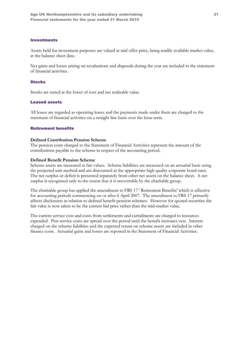#### **Investments**

Assets held for investment purposes are valued at mid offer price, being readily available market value, at the balance sheet date.

Net gains and losses arising on revaluations and disposals during the year are included in the statement of financial activities.

#### **Stocks**

Stocks are stated at the lower of cost and net realisable value.

#### Leased assets

All leases are regarded as operating leases and the payments made under them are charged to the statement of financial activities on a straight line basis over the lease term.

### Retirement benefits

#### Defined Contribution Pension Scheme

The pension costs charged to the Statement of Financial Activities represent the amount of the contributions payable to the scheme in respect of the accounting period.

#### Defined Benefit Pension Scheme

Scheme assets are measured at fair values. Scheme liabilities are measured on an actuarial basis using the projected unit method and are discounted at the appropriate high quality corporate bond rates. The net surplus or deficit is presented separately from other net assets on the balance sheet. A net surplus is recognised only to the extent that it is recoverable by the charitable group.

The charitable group has applied the amendment to FRS 17 ' Retirement Benefits' which is effective for accounting periods commencing on or after 6 April 2007. The amendment to FRS 17 primarily affects disclosures in relation to defined benefit pension schemes. However for quoted securities the fair value is now taken to be the current bid price rather than the mid-market value.

The current service cost and costs from settlements and curtailments are charged to resources expended. Past service costs are spread over the period until the benefit increases vest. Interest charged on the scheme liabilities and the expected return on scheme assets are included in other finance costs. Actuarial gains and losses are reported in the Statement of Financial Activities.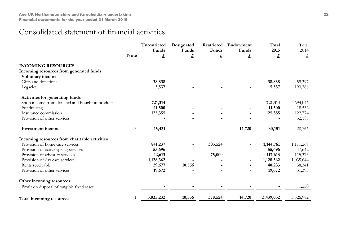# Consolidated statement of financial activities

|                                                 |                | Unrestricted<br>Funds | Designated<br>Funds | Restricted<br>Funds | Endowment<br>Funds | Total<br>2015 | Total<br>2014 |
|-------------------------------------------------|----------------|-----------------------|---------------------|---------------------|--------------------|---------------|---------------|
|                                                 | <b>Note</b>    | £                     | £                   | £                   | £                  | £             | £             |
| <b>INCOMING RESOURCES</b>                       |                |                       |                     |                     |                    |               |               |
| Incoming resources from generated funds         |                |                       |                     |                     |                    |               |               |
| Voluntary income                                |                |                       |                     |                     |                    |               |               |
| Gifts and donations                             |                | 38,838                |                     |                     |                    | 38,838        | 59,397        |
| Legacies                                        |                | 5,537                 |                     |                     |                    | 5,537         | 190,366       |
| Activities for generating funds                 |                |                       |                     |                     |                    |               |               |
| Shop income from donated and bought in products |                | 721,314               |                     |                     |                    | 721,314       | 694,046       |
| Fundraising                                     |                | 11,500                |                     |                     |                    | 11,500        | 18,532        |
| Insurance commission                            |                | 125,355               |                     |                     |                    | 125,355       | 122,774       |
| Provision of other services                     |                |                       |                     |                     |                    |               | 32,187        |
| <b>Investment</b> income                        | $\mathfrak{Z}$ | 15,431                |                     |                     | 14,720             | 30,151        | 28,766        |
| Incoming resources from charitable activities   |                |                       |                     |                     |                    |               |               |
| Provision of home care services                 |                | 841,237               |                     | 303,524             |                    | 1,144,761     | 1,111,269     |
| Provision of active ageing services             |                | 55,696                |                     |                     |                    | 55,696        | 47,642        |
| Provision of advisory services                  |                | 42,613                |                     | 75,000              |                    | 117,613       | 115,375       |
| Provision of day care services                  |                | 1,128,362             |                     |                     |                    | 1,128,362     | 1,035,644     |
| Rents receivable                                |                | 29,677                | 10,556              |                     |                    | 40,233        | 38,341        |
| Provision of other services                     |                | 19,672                |                     |                     |                    | 19,672        | 31,393        |
| Other incoming resources                        |                |                       |                     |                     |                    |               |               |
| Profit on disposal of tangible fixed asset      |                |                       |                     |                     |                    |               | 1,250         |
| Total incoming resources                        |                | 3,035,232             | 10,556              | 378,524             | 14,720             | 3,439,032     | 3,526,982     |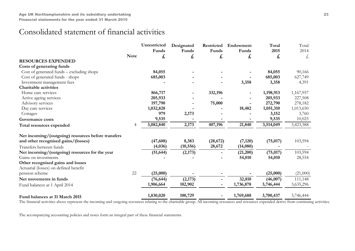# Consolidated statement of financial activities

|                                                    |             | Unrestricted<br>Funds | Designated<br>Funds | Restricted<br>Funds | Endowment<br>Funds | Total<br>2015 | Total<br>2014 |
|----------------------------------------------------|-------------|-----------------------|---------------------|---------------------|--------------------|---------------|---------------|
|                                                    | <b>Note</b> | £                     | £                   | £                   | £                  | £             | £,            |
| <b>RESOURCES EXPENDED</b>                          |             |                       |                     |                     |                    |               |               |
| Costs of generating funds                          |             |                       |                     |                     |                    |               |               |
| Cost of generated funds – excluding shops          |             | 84,055                |                     |                     |                    | 84,055        | 90,166        |
| Cost of generated funds - shops                    |             | 685,003               |                     |                     |                    | 685,003       | 627,749       |
| Investment management fees                         |             |                       |                     |                     | 3,358              | 3,358         | 4,391         |
| <b>Charitable activities</b>                       |             |                       |                     |                     |                    |               |               |
| Home care services                                 |             | 866,717               |                     | 332,196             |                    | 1,198,913     | 1,167,957     |
| Active ageing services                             |             | 205,933               |                     |                     |                    | 205,933       | 227,508       |
| Advisory services                                  |             | 197,790               |                     | 75,000              |                    | 272,790       | 278,182       |
| Day care services                                  |             | 1,032,828             |                     |                     | 18,482             | 1,051,310     | 1,013,650     |
| Cottages                                           |             | 979                   | 2,173               |                     |                    | 3,152         | 3,760         |
| Governance costs                                   |             | 9,535                 |                     |                     |                    | 9,535         | 10,025        |
| Total resources expended                           | 4           | 3,082,840             | 2,173               | 407,196             | 21,840             | 3,514,049     | 3,423,388     |
| Net incoming/(outgoing) resources before transfers |             |                       |                     |                     |                    |               |               |
| and other recognised gains/(losses)                |             | (47, 608)             | 8,383               | (28, 672)           | (7, 120)           | (75, 017)     | 103,594       |
| Transfers between funds                            |             | (4,036)               | (10, 556)           | 28,672              | (14,080)           |               |               |
| Net incoming/(outgoing) resources for the year     |             | (51, 644)             | (2,173)             |                     | (21,200)           | (75, 017)     | 103,594       |
| Gains on investments                               |             |                       |                     |                     | 54,010             | 54,010        | 28,554        |
| Other recognised gains and losses                  |             |                       |                     |                     |                    |               |               |
| Actuarial (losses) on defined benefit              |             |                       |                     |                     |                    |               |               |
| pension scheme                                     | 22          | (25,000)              |                     |                     |                    | (25,000)      | (21,000)      |
| Net movements in funds                             |             | (76, 644)             | (2,173)             |                     | 32,810             | (46,007)      | 111,148       |
| Fund balances at 1 April 2014                      |             | 1,906,664             | 102,902             |                     | 1,736,878          | 3,746,444     | 3,635,296     |
| Fund balances at 31 March 2015                     |             | 1,830,020             | 100,729             |                     | 1,769,688          | 3,700,437     | 3,746,444     |

The financial activities above represent the incoming and outgoing resources relating to the charitable group. All incoming resources and resources expended derive from continuing activities.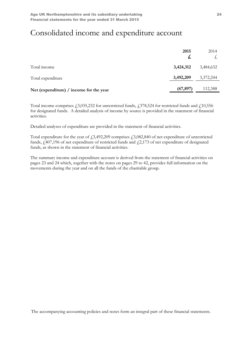# Consolidated income and expenditure account

|                                         | 2015<br>£, | 2014<br>大, |
|-----------------------------------------|------------|------------|
| Total income                            | 3,424,312  | 3,484,632  |
| Total expenditure                       | 3,492,209  | 3,372,244  |
| Net (expenditure) / income for the year | (67, 897)  | 112,388    |

Total income comprises  $\dot{f}$ , 3,035,232 for unrestricted funds,  $\dot{f}$ , 378,524 for restricted funds and  $\dot{f}$ , 10,556 for designated funds. A detailed analysis of income by source is provided in the statement of financial activities.

Detailed analyses of expenditure are provided in the statement of financial activities.

Total expenditure for the year of  $\text{\textsterling}3,492,209$  comprises  $\text{\textsterling}3,082,840$  of net expenditure of unrestricted funds,  $f<sub>1</sub>407,196$  of net expenditure of restricted funds and  $f<sub>2</sub>173$  of net expenditure of designated funds, as shown in the statement of financial activities.

The summary income and expenditure account is derived from the statement of financial activities on pages 23 and 24 which, together with the notes on pages 29 to 42, provides full information on the movements during the year and on all the funds of the charitable group.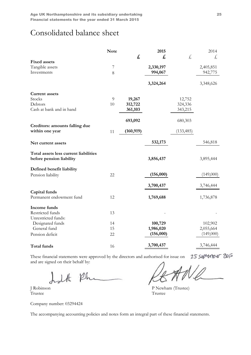# Consolidated balance sheet

|                                                                   | <b>Note</b>    |            | 2015      |            | 2014      |
|-------------------------------------------------------------------|----------------|------------|-----------|------------|-----------|
|                                                                   |                | £,         | £,        | £,         | £,        |
| <b>Fixed assets</b>                                               |                |            |           |            |           |
| Tangible assets                                                   | $\overline{7}$ |            | 2,330,197 |            | 2,405,851 |
| Investments                                                       | 8              |            | 994,067   |            | 942,775   |
|                                                                   |                |            | 3,324,264 |            | 3,348,626 |
| <b>Current assets</b>                                             |                |            |           |            |           |
| Stocks                                                            | 9              | 19,267     |           | 12,752     |           |
| Debtors                                                           | 10             | 312,722    |           | 324,336    |           |
| Cash at bank and in hand                                          |                | 361,103    |           | 343,215    |           |
|                                                                   |                | 693,092    |           | 680,303    |           |
| Creditors: amounts falling due<br>within one year                 | 11             | (160, 919) |           | (133, 485) |           |
|                                                                   |                |            |           |            |           |
| Net current assets                                                |                |            | 532,173   |            | 546,818   |
| Total assets less current liabilities<br>before pension liability |                |            | 3,856,437 |            | 3,895,444 |
| Defined benefit liability                                         |                |            |           |            |           |
| Pension liability                                                 | 22             |            | (156,000) |            | (149,000) |
|                                                                   |                |            |           |            |           |
|                                                                   |                |            | 3,700,437 |            | 3,746,444 |
| Capital funds                                                     |                |            |           |            |           |
| Permanent endowment fund                                          | 12             |            | 1,769,688 |            | 1,736,878 |
| Income funds                                                      |                |            |           |            |           |
| Restricted funds                                                  | 13             |            |           |            |           |
| Unrestricted funds:                                               |                |            |           |            |           |
| Designated funds                                                  | 14             |            | 100,729   |            | 102,902   |
| General fund                                                      | 15             |            | 1,986,020 |            | 2,055,664 |
| Pension deficit                                                   | 22             |            | (156,000) |            | (149,000) |
| Total funds                                                       | 16             |            | 3,700,437 |            | 3,746,444 |
|                                                                   |                |            |           |            |           |

25 september 2015 These financial statements were approved by the directors and authorised for issue on and are signed on their behalf by:

halt Ph

Trustee Trustee

Company number: 03294424

J Robinson P Newham (Trustee)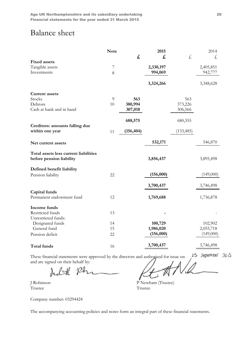# Balance sheet

|                                                                   | <b>Note</b>      |            | 2015      |            | 2014      |
|-------------------------------------------------------------------|------------------|------------|-----------|------------|-----------|
|                                                                   |                  | £          | £,        | £,         | £         |
| <b>Fixed assets</b>                                               |                  |            |           |            |           |
| Tangible assets                                                   | $\boldsymbol{7}$ |            | 2,330,197 |            | 2,405,851 |
| Investments                                                       | 8                |            | 994,069   |            | 942,777   |
|                                                                   |                  |            | 3,324,266 |            | 3,348,628 |
| <b>Current assets</b>                                             |                  |            |           |            |           |
| Stocks                                                            | 9                | 563        |           | 563        |           |
| Debtors                                                           | 10               | 380,994    |           | 373,226    |           |
| Cash at bank and in hand                                          |                  | 307,018    |           | 306,566    |           |
|                                                                   |                  | 688,575    |           | 680,355    |           |
| Creditors: amounts falling due<br>within one year                 | 11               | (156, 404) |           | (133, 485) |           |
| Net current assets                                                |                  |            | 532,171   |            | 546,870   |
| Total assets less current liabilities<br>before pension liability |                  |            | 3,856,437 |            | 3,895,498 |
| Defined benefit liability                                         |                  |            |           |            |           |
| Pension liability                                                 | 22               |            | (156,000) |            | (149,000) |
|                                                                   |                  |            | 3,700,437 |            | 3,746,498 |
| Capital funds                                                     |                  |            |           |            |           |
| Permanent endowment fund                                          | 12               |            | 1,769,688 |            | 1,736,878 |
| Income funds                                                      |                  |            |           |            |           |
| Restricted funds                                                  | 13               |            |           |            |           |
| Unrestricted funds:                                               |                  |            |           |            |           |
| Designated funds                                                  | 14               |            | 100,729   |            | 102,902   |
| General fund                                                      | 15               |            | 1,986,020 |            | 2,055,718 |
| Pension deficit                                                   | 22               |            | (156,000) |            | (149,000) |
| Total funds                                                       | 16               |            | 3,700,437 |            | 3,746,498 |

25 september 2015 These financial statements were approved by the directors and authorised for issue on and are signed on their behalf by:

**Trustee** 

Judel Phi

J Robinson P Newham (Trustee)

Company number: 03294424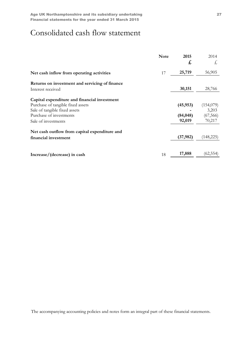# Consolidated cash flow statement

|                                                | <b>Note</b> | 2015<br>£ | 2014<br>£, |
|------------------------------------------------|-------------|-----------|------------|
| Net cash inflow from operating activities      | 17          | 25,719    | 56,905     |
| Returns on investment and servicing of finance |             |           |            |
| Interest received                              |             | 30,151    | 28,766     |
| Capital expenditure and financial investment   |             |           |            |
| Purchase of tangible fixed assets              |             | (45, 953) | (154,079)  |
| Sale of tangible fixed assets                  |             |           | 3,203      |
| Purchase of investments                        |             | (84, 048) | (67, 566)  |
| Sale of investments                            |             | 92,019    | 70,217     |
| Net cash outflow from capital expenditure and  |             |           |            |
| financial investment                           |             | (37, 982) | (148, 225) |
|                                                |             |           |            |
| Increase/(decrease) in cash                    | 18          | 17,888    | (62, 554)  |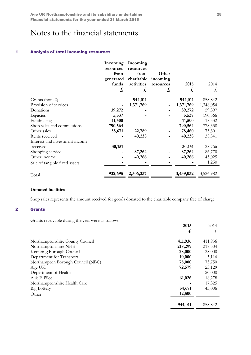Age UK Northamptonshire and its subsidiary undertaking Theorem 28 Financial statements for the year ended 31 March 2015

# Notes to the financial statements

#### 1 Analysis of total incoming resources

|                                | Incoming          | Incoming          |           |           |           |
|--------------------------------|-------------------|-------------------|-----------|-----------|-----------|
|                                | resources<br>from | resources<br>from | Other     |           |           |
|                                | generated         | charitable        | incoming  |           |           |
|                                | funds             | activities        | resources | 2015      | 2014      |
|                                | £                 | £                 | £         | £         | £,        |
| Grants (note 2)                |                   | 944,011           |           | 944,011   | 858,842   |
| Provision of services          |                   | 1,371,769         |           | 1,371,769 | 1,348,054 |
| Donations                      | 39,272            |                   |           | 39,272    | 59,397    |
| Legacies                       | 5,537             |                   |           | 5,537     | 190,366   |
| Fundraising                    | 11,500            |                   |           | 11,500    | 18,532    |
| Shop sales and commissions     | 790,564           |                   |           | 790,564   | 778,338   |
| Other sales                    | 55,671            | 22,789            |           | 78,460    | 73,301    |
| Rents received                 |                   | 40,238            |           | 40,238    | 38,341    |
| Interest and investment income |                   |                   |           |           |           |
| received                       | 30,151            |                   |           | 30,151    | 28,766    |
| Shopping service               |                   | 87,264            |           | 87,264    | 86,770    |
| Other income                   |                   | 40,266            |           | 40,266    | 45,025    |
| Sale of tangible fixed assets  |                   |                   |           |           | 1,250     |
| Total                          | 932,695           | 2,506,337         |           | 3,439,032 | 3,526,982 |

## Donated facilities

Shop sales represents the amount received for goods donated to the charitable company free of charge.

## 2 Grants

Grants receivable during the year were as follows:

|                                   | 2015    | 2014    |
|-----------------------------------|---------|---------|
|                                   | £,      | £,      |
| Northamptonshire County Council   | 411,936 | 411,936 |
| Northamptonshire NHS              | 218,299 | 218,304 |
| Kettering Borough Council         | 28,000  | 28,000  |
| Department for Transport          | 10,000  | 5,114   |
| Northampton Borough Council (NBC) | 75,000  | 73,750  |
| Age UK                            | 72,579  | 23,129  |
| Department of Health              |         | 20,000  |
| $A & E$ Pilot                     | 61,026  | 18,278  |
| Northamptonshire Health Care      |         | 17,325  |
| Big Lottery                       | 54,671  | 43,006  |
| Other                             | 12,500  |         |
|                                   | 944,011 | 858,842 |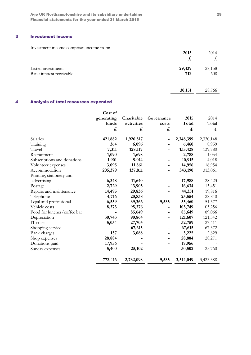Age UK Northamptonshire and its subsidiary undertaking 29 Financial statements for the year ended 31 March 2015

# 3 Investment income

Investment income comprises income from:

| <i>Investment meonie</i> comprises meonie from. | 2015<br>$\boldsymbol{t}$ | 2014<br>た     |
|-------------------------------------------------|--------------------------|---------------|
| Listed investments<br>Bank interest receivable  | 29,439<br>712            | 28,158<br>608 |
|                                                 | 30,151                   | 28,766        |

# 4 Analysis of total resources expended

|                             | Cost of    |            |            |           |           |
|-----------------------------|------------|------------|------------|-----------|-----------|
|                             | generating | Charitable | Governance | 2015      | 2014      |
|                             | funds      | activities | costs      | Total     | Total     |
|                             | £          | £          | £          | £         | £         |
| Salaries                    | 421,882    | 1,926,517  |            | 2,348,399 | 2,330,148 |
| Training                    | 364        | 6,096      |            | 6,460     | 8,959     |
| Travel                      | 7,311      | 128,117    |            | 135,428   | 139,780   |
| Recruitment                 | 1,090      | 1,698      |            | 2,788     | 1,054     |
| Subscriptions and donations | 1,901      | 9,014      |            | 10,915    | 4,018     |
| Volunteer expenses          | 3,095      | 11,861     |            | 14,956    | 16,954    |
| Accommodation               | 205,379    | 137,811    |            | 343,190   | 313,061   |
| Printing, stationery and    |            |            |            |           |           |
| advertising                 | 6,348      | 11,640     |            | 17,988    | 28,423    |
| Postage                     | 2,729      | 13,905     |            | 16,634    | 15,451    |
| Repairs and maintenance     | 14,495     | 29,836     |            | 44,331    | 19,816    |
| Telephone                   | 4,716      | 20,838     |            | 25,554    | 28,840    |
| Legal and professional      | 6,559      | 39,366     | 9,535      | 55,460    | 51,577    |
| Vehicle costs               | 8,373      | 95,376     |            | 103,749   | 103,256   |
| Food for lunches/coffee bar |            | 85,649     |            | 85,649    | 89,066    |
| Depreciation                | 30,743     | 90,864     |            | 121,607   | 121,342   |
| IT costs                    | 5,054      | 27,705     |            | 32,759    | 27,411    |
| Shopping service            |            | 67,615     |            | 67,615    | 67,372    |
| Bank charges                | 137        | 3,088      |            | 3,225     | 2,829     |
| Shop expenses               | 28,884     |            |            | 28,884    | 28,271    |
| Donations paid              | 17,956     |            |            | 17,956    |           |
| Sundry expenses             | 5,400      | 25,102     |            | 30,502    | 25,760    |
|                             | 772,416    | 2,732,098  | 9,535      | 3,514,049 | 3,423,388 |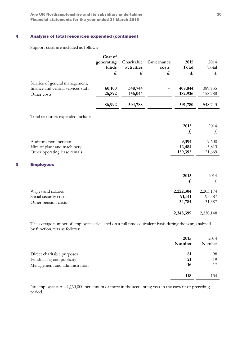Age UK Northamptonshire and its subsidiary undertaking 30 Financial statements for the year ended 31 March 2015

# 4 Analysis of total resources expended (continued)

Support costs are included as follows:

|   |                                                                                        | Cost of<br>generating<br>funds<br>£ | Charitable<br>activities<br>£ | Governance<br>costs<br>£ | 2015<br>Total<br>£            | 2014<br>Total<br>£            |
|---|----------------------------------------------------------------------------------------|-------------------------------------|-------------------------------|--------------------------|-------------------------------|-------------------------------|
|   | Salaries of general management,<br>finance and central services staff<br>Other costs   | 60,100<br>26,892                    | 348,744<br>156,044            |                          | 408,844<br>182,936            | 389,955<br>158,788            |
|   |                                                                                        | 86,992                              | 504,788                       |                          | 591,780                       | 548,743                       |
|   | Total resources expended include:                                                      |                                     |                               |                          |                               |                               |
|   |                                                                                        |                                     |                               |                          | 2015<br>$\mathbf{f}$          | 2014<br>£                     |
|   | Auditor's remuneration<br>Hire of plant and machinery<br>Other operating lease rentals |                                     |                               |                          | 9,394<br>12,484<br>159,395    | 9,600<br>3,813<br>121,669     |
| 5 | <b>Employees</b>                                                                       |                                     |                               |                          |                               |                               |
|   |                                                                                        |                                     |                               |                          | 2015<br>£                     | 2014<br>£,                    |
|   | Wages and salaries<br>Social security costs<br>Other pension costs                     |                                     |                               |                          | 2,222,304<br>91,311<br>34,784 | 2,203,174<br>95,587<br>31,387 |
|   |                                                                                        |                                     |                               |                          | 2,348,399                     | 2,330,148                     |

The average number of employees calculated on a full time equivalent basis during the year, analysed by function, was as follows:

|                               | 2015   | 2014   |
|-------------------------------|--------|--------|
|                               | Number | Number |
| Direct charitable purposes    | 81     | 98     |
| Fundraising and publicity     | 21     | 19     |
| Management and administration | 16     |        |
|                               | 118    | 134    |

No employee earned  $\text{\emph{f}}_0(60,000)$  per annum or more in the accounting year in the current or preceding period.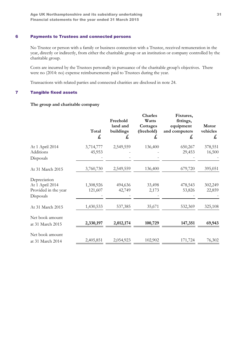# 6 Payments to Trustees and connected persons

No Trustee or person with a family or business connection with a Trustee, received remuneration in the year, directly or indirectly, from either the charitable group or an institution or company controlled by the charitable group.

Costs are incurred by the Trustees personally in pursuance of the charitable group's objectives. There were no (2014: no) expense reimbursements paid to Trustees during the year.

Transactions with related parties and connected charities are disclosed in note 24.

### 7 Tangible fixed assets

## The group and charitable company

|                                                                      | Total<br>£           | Freehold<br>land and<br>buildings<br>£ | <b>Charles</b><br>Watts<br>Cottages<br>(freehold)<br>$\mathbf{f}$ | Fixtures,<br>fittings,<br>equipment<br>and computers<br>£ | Motor<br>vehicles<br>$\mathbf{f}$ |
|----------------------------------------------------------------------|----------------------|----------------------------------------|-------------------------------------------------------------------|-----------------------------------------------------------|-----------------------------------|
| At 1 April 2014<br>Additions<br>Disposals                            | 3,714,777<br>45,953  | 2,549,559                              | 136,400                                                           | 650,267<br>29,453                                         | 378,551<br>16,500                 |
| At 31 March 2015                                                     | 3,760,730            | 2,549,559                              | 136,400                                                           | 679,720                                                   | 395,051                           |
| Depreciation<br>At 1 April 2014<br>Provided in the year<br>Disposals | 1,308,926<br>121,607 | 494,636<br>42,749                      | 33,498<br>2,173                                                   | 478,543<br>53,826                                         | 302,249<br>22,859                 |
| At 31 March 2015                                                     | 1,430,533            | 537,385                                | 35,671                                                            | 532,369                                                   | 325,108                           |
| Net book amount<br>at 31 March 2015                                  | 2,330,197            | 2,012,174                              | 100,729                                                           | 147,351                                                   | 69,943                            |
| Net book amount<br>at 31 March 2014                                  | 2,405,851            | 2,054,923                              | 102,902                                                           | 171,724                                                   | 76,302                            |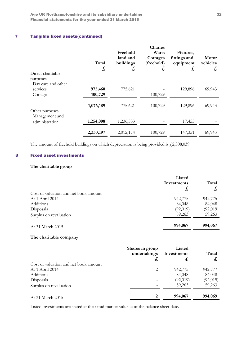Age UK Northamptonshire and its subsidiary undertaking 32 Financial statements for the year ended 31 March 2015

# 7 Tangible fixed assets(continued)

| Direct charitable<br>purposes              | Total<br>£         | Freehold<br>land and<br>buildings<br>£ | <b>Charles</b><br>Watts<br>Cottages<br>(freehold)<br>£ | Fixtures,<br>fittings and<br>equipment<br>£ | Motor<br>vehicles<br>£, |
|--------------------------------------------|--------------------|----------------------------------------|--------------------------------------------------------|---------------------------------------------|-------------------------|
| Day care and other<br>services<br>Cottages | 975,460<br>100,729 | 775,621                                | 100,729                                                | 129,896                                     | 69,943                  |
| Other purposes<br>Management and           | 1,076,189          | 775,621                                | 100,729                                                | 129,896                                     | 69,943                  |
| administration                             | 1,254,008          | 1,236,553                              |                                                        | 17,455                                      |                         |
|                                            | 2,330,197          | 2,012,174                              | 100,729                                                | 147,351                                     | 69,943                  |

The amount of freehold buildings on which depreciation is being provided is  $\text{\emph{L}}2,308,039$ 

### 8 Fixed asset investments

# The charitable group

|                                       | Listed      |              |
|---------------------------------------|-------------|--------------|
|                                       | Investments | Total        |
|                                       | £,          | $\mathbf{f}$ |
| Cost or valuation and net book amount |             |              |
| At 1 April 2014                       | 942,775     | 942,775      |
| Additions                             | 84,048      | 84,048       |
| Disposals                             | (92,019)    | (92,019)     |
| Surplus on revaluation                | 59,263      | 59,263       |
| At 31 March 2015                      | 994,067     | 994,067      |

### The charitable company

|                                       | Shares in group<br>undertakings<br>た | Listed<br>Investments<br>£, | Total<br>圡 |
|---------------------------------------|--------------------------------------|-----------------------------|------------|
| Cost or valuation and net book amount |                                      |                             |            |
| At 1 April 2014                       | 2                                    | 942,775                     | 942,777    |
| Additions                             |                                      | 84,048                      | 84,048     |
| Disposals                             |                                      | (92,019)                    | (92,019)   |
| Surplus on revaluation                |                                      | 59,263                      | 59,263     |
| At 31 March 2015                      | 2                                    | 994,067                     | 994,069    |

Listed investments are stated at their mid market value as at the balance sheet date.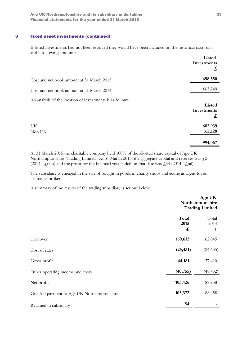## 8 Fixed asset investments (continued)

If listed investments had not been revalued they would have been included on the historical cost basis at the following amounts:

|                                                           | Listed<br>Investments<br>$\mathbf{f}$ |
|-----------------------------------------------------------|---------------------------------------|
| Cost and net book amount at 31 March 2015                 | 698,550                               |
| Cost and net book amount at 31 March 2014                 | 663,249                               |
| An analysis of the location of investments is as follows: | Listed<br>Investments<br>$\mathbf{f}$ |
| UK<br>Non UK                                              | 682,939<br>311,128                    |
|                                                           | 994,067                               |

At 31 March 2015 the charitable company held 100% of the allotted share capital of Age UK Northamptonshire Trading Limited. At 31 March 2015, the aggregate capital and reserves was  $\mathcal{L}^2$ (2014 -  $\zeta(52)$ ) and the profit for the financial year ended on that date was  $\zeta$ 54 (2014 -  $\zeta$ nil).

The subsidiary is engaged in the sale of bought in goods in charity shops and acting as agent for an insurance broker.

A summary of the results of the trading subsidiary is set out below:

|                                             |                    | Age UK<br>Northamptonshire<br><b>Trading Limited</b> |  |
|---------------------------------------------|--------------------|------------------------------------------------------|--|
|                                             | Total<br>2015<br>£ | Total<br>2014<br>£,                                  |  |
| Turnover                                    | 169,612            | 162,045                                              |  |
| Cost of sales                               | (25, 431)          | (24, 635)                                            |  |
| Gross profit                                | 144,181            | 137,410                                              |  |
| Other operating income and costs            | (40, 755)          | (48, 452)                                            |  |
| Net profit                                  | 103,426            | 88,958                                               |  |
| Gift Aid payment to Age UK Northamptonshire | 103,372            | 88,958                                               |  |
| Retained in subsidiary                      | 54                 |                                                      |  |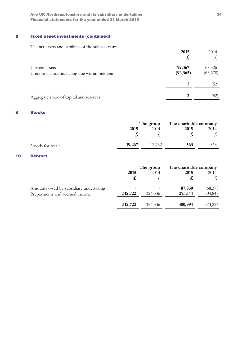Age UK Northamptonshire and its subsidiary undertaking 34 Financial statements for the year ended 31 March 2015

# 8 Fixed asset investments (continued)

The net assets and liabilities of the subsidiary are:

|                                                                  | 2015<br>£,          | 2014<br>太,          |
|------------------------------------------------------------------|---------------------|---------------------|
| Current assets<br>Creditors: amounts falling due within one year | 92,367<br>(92, 365) | 68,326<br>(63, 678) |
|                                                                  | 2                   | (52)                |
| Aggregate share of capital and reserves                          | $\mathbf{2}$        | (52)                |

## 9 Stocks

|                  |        | The group |      | The charitable company |
|------------------|--------|-----------|------|------------------------|
|                  | 2015   | 2014      | 2015 | 2014                   |
|                  |        |           |      |                        |
| Goods for resale | 19,267 | 12,752    | 563  | 563                    |

### 10 Debtors

|                                        |         | The group | The charitable company |         |
|----------------------------------------|---------|-----------|------------------------|---------|
|                                        | 2015    | 2014      | 2015                   | 2014    |
|                                        |         |           | £,                     |         |
| Amounts owed by subsidiary undertaking |         |           | 87,850                 | 68,378  |
| Prepayments and accrued income         | 312,722 | 324,336   | 293,144                | 304,848 |
|                                        | 312,722 | 324,336   | 380,994                | 373,226 |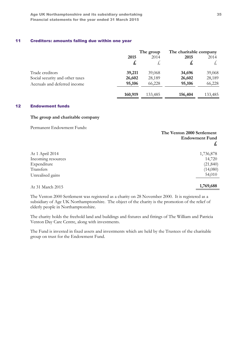## 11 Creditors: amounts falling due within one year

|                                 | The group |         | The charitable company |         |
|---------------------------------|-----------|---------|------------------------|---------|
|                                 | 2015      | 2014    | 2015                   | 2014    |
|                                 | £,        |         | £                      | t,      |
| Trade creditors                 | 39,211    | 39,068  | 34,696                 | 39,068  |
| Social security and other taxes | 26,602    | 28,189  | 26,602                 | 28,189  |
| Accruals and deferred income    | 95,106    | 66,228  | 95,106                 | 66,228  |
|                                 | 160,919   | 133,485 | 156,404                | 133,485 |

### 12 Endowment funds

#### The group and charitable company

Permanent Endowment Funds:

|                    | The Venton 2000 Settlement<br><b>Endowment Fund</b><br>£, |
|--------------------|-----------------------------------------------------------|
| At 1 April 2014    | 1,736,878                                                 |
| Incoming resources | 14,720                                                    |
| Expenditure        | (21, 840)                                                 |
| Transfers          | (14,080)                                                  |
| Unrealised gains   | 54,010                                                    |
| At 31 March 2015   | 1,769,688                                                 |

The Venton 2000 Settlement was registered as a charity on 28 November 2000. It is registered as a subsidiary of Age UK Northamptonshire. The object of the charity is the promotion of the relief of elderly people in Northamptonshire.

The charity holds the freehold land and buildings and fixtures and fittings of The William and Patricia Venton Day Care Centre, along with investments.

The Fund is invested in fixed assets and investments which are held by the Trustees of the charitable group on trust for the Endowment Fund.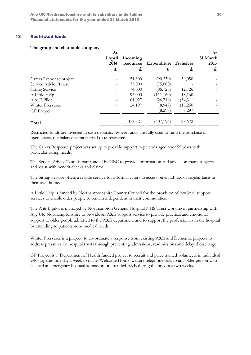### 13 Restricted funds

#### The group and charitable company

|                         | At<br>1 April<br>2014<br>£, | Incoming<br>resources<br>£, | <b>Expenditure Transfers</b><br>£, | £,       | At<br>31 March<br>2015<br>£, |
|-------------------------|-----------------------------|-----------------------------|------------------------------------|----------|------------------------------|
| Carers Response project |                             | 51,300                      | (90,350)                           | 39,050   |                              |
| Service Advice Team     |                             | 75,000                      | (75,000)                           |          |                              |
| <b>Sitting Service</b>  |                             | 74,000                      | (86, 726)                          | 12,726   |                              |
| A Little Help           |                             | 93,000                      | (111,160)                          | 18,160   |                              |
| A & E Pilot             |                             | 61,027                      | (26, 716)                          | (34,311) |                              |
| <b>Winter Pressures</b> |                             | 24,197                      | (8,947)                            | (15,250) |                              |
| <b>GP</b> Project       |                             |                             | (8,297)                            | 8,297    |                              |
| Total                   |                             | 378,524                     | (407, 196)                         | 28,672   |                              |

Restricted funds are invested in cash deposits. Where funds are fully used to fund the purchase of fixed assets, the balance is transferred to unrestricted.

The Carers Response project was set up to provide support to persons aged over 55 years with particular caring needs.

The Service Advice Team is part funded by NBC to provide information and advice on many subjects and assist with benefit checks and claims.

The Sitting Service offers a respite service for informal carers to access on an ad-hoc or regular basis in their own home.

A Little Help is funded by Northamptonshire County Council for the provision of low level support services to enable older people to remain independent in their communities.

The A & E pilot is managed by Northampton General Hospital NHS Trust working in partnership with Age UK Northamptonshire to provide an A&E support service to provide practical and emotional support to older people admitted to the A&E department and to support the professionals in the hospital by attending to patients non- medical needs.

Winter Pressures is a project to co-ordinate a response from existing A&E and Dementia projects to address pressures on hospital trusts through preventing admissions, readmissions and delayed discharge.

GP Project is a Department of Health funded project to recruit and place trained volunteers in individual GP surgeries one day a week to make 'Welcome Home' welfare telephone calls to any older person who has had an emergency hospital admission or attended A&E during the previous two weeks.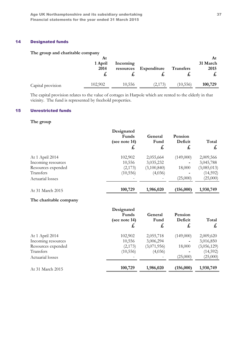## 14 Designated funds

### The group and charitable company

|                   | At<br>1 April<br>2014<br>ゐ | Incoming<br>resources | Expenditure | <b>Transfers</b> | At<br>31 March<br>2015<br>t, |
|-------------------|----------------------------|-----------------------|-------------|------------------|------------------------------|
| Capital provision | 102,902                    | 10,556                | (2,173)     | (10, 556)        | 100,729                      |

The capital provision relates to the value of cottages in Harpole which are rented to the elderly in that vicinity. The fund is represented by freehold properties.

# 15 Unrestricted funds

#### The group

|                    | Designated<br>Funds<br>(see note 14)<br>£, | General<br>Fund<br>£, | Pension<br>Deficit<br>$\mathbf{f}$ | Total<br>£, |
|--------------------|--------------------------------------------|-----------------------|------------------------------------|-------------|
| At 1 April 2014    | 102,902                                    | 2,055,664             | (149,000)                          | 2,009,566   |
| Incoming resources | 10,556                                     | 3,035,232             |                                    | 3,045,788   |
| Resources expended | (2,173)                                    | (3,100,840)           | 18,000                             | (3,085,013) |
| <b>Transfers</b>   | (10, 556)                                  | (4,036)               |                                    | (14,592)    |
| Actuarial losses   |                                            |                       | (25,000)                           | (25,000)    |
| At 31 March 2015   | 100,729                                    | 1,986,020             | (156,000)                          | 1,930,749   |

### The charitable company

| Designated<br>Funds<br>(see note 14)<br>£, | General<br>Fund<br>£, | Pension<br>Deficit<br>£, | Total<br>£, |
|--------------------------------------------|-----------------------|--------------------------|-------------|
| 102,902                                    | 2,055,718             | (149,000)                | 2,009,620   |
| 10,556                                     | 3,006,294             |                          | 3,016,850   |
| (2,173)                                    | (3,071,956)           | 18,000                   | (3,056,129) |
| (10, 556)                                  | (4,036)               |                          | (14, 592)   |
|                                            |                       | (25,000)                 | (25,000)    |
| 100,729                                    | 1,986,020             | (156,000)                | 1,930,749   |
|                                            |                       |                          |             |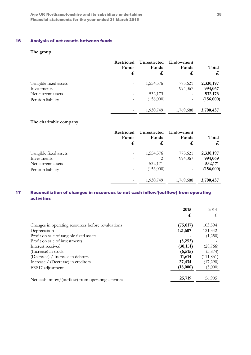# 16 Analysis of net assets between funds

# The group

|                       | <b>Restricted</b><br>Funds<br>£ | Unrestricted<br>Funds<br>£, | Endowment<br>Funds<br>£  | Total<br>£ |
|-----------------------|---------------------------------|-----------------------------|--------------------------|------------|
| Tangible fixed assets | -                               | 1,554,576                   | 775,621                  | 2,330,197  |
| Investments           | $\overline{\phantom{0}}$        |                             | 994,067                  | 994,067    |
| Net current assets    | -                               | 532,173                     |                          | 532,173    |
| Pension liability     | Ξ.                              | (156,000)                   | $\overline{\phantom{a}}$ | (156,000)  |
|                       |                                 | 1,930,749                   | 1,769,688                | 3,700,437  |

### The charitable company

|                       | <b>Restricted</b><br>Funds<br>£, | Unrestricted<br>Funds<br>£, | Endowment<br>Funds<br>£, | Total<br>$\boldsymbol{t}$ |
|-----------------------|----------------------------------|-----------------------------|--------------------------|---------------------------|
| Tangible fixed assets | -                                | 1,554,576                   | 775,621                  | 2,330,197                 |
| Investments           |                                  | 2                           | 994,067                  | 994,069                   |
| Net current assets    |                                  | 532,171                     |                          | 532,171                   |
| Pension liability     |                                  | (156,000)                   |                          | (156,000)                 |
|                       | -                                | 1,930,749                   | 1,769,688                | 3,700,437                 |

# 17 Reconciliation of changes in resources to net cash inflow/(outflow) from operating activities

|                                                     | 2015      | 2014       |
|-----------------------------------------------------|-----------|------------|
|                                                     | £,        | $\pm$ ,    |
| Changes in operating resources before revaluations  | (75, 017) | 103,594    |
| Depreciation                                        | 121,607   | 121,342    |
| Profit on sale of tangible fixed assets             |           | (1,250)    |
| Profit on sale of investments                       | (5,253)   |            |
| Interest received                                   | (30, 151) | (28, 766)  |
| (Increase) in stock                                 | (6, 515)  | (3,874)    |
| (Decrease) / Increase in debtors                    | 11,614    | (111, 851) |
| Increase / (Decrease) in creditors                  | 27,434    | (17,290)   |
| FRS17 adjustment                                    | (18,000)  | (5,000)    |
| Net cash inflow/(outflow) from operating activities | 25,719    | 56,905     |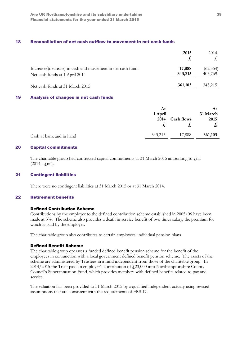### 18 Reconciliation of net cash outflow to movement in net cash funds

|                                                                                              | 2015              | 2014                 |
|----------------------------------------------------------------------------------------------|-------------------|----------------------|
| Increase/(decrease) in cash and movement in net cash funds<br>Net cash funds at 1 April 2014 | 17,888<br>343,215 | (62, 554)<br>405,769 |
| Net cash funds at 31 March 2015                                                              | 361,103           | 343,215              |

#### 19 Analysis of changes in net cash funds

|                          | At<br>1 April |                   | At<br>31 March |
|--------------------------|---------------|-------------------|----------------|
|                          | 2014          | <b>Cash flows</b> | 2015           |
|                          |               | た                 | た              |
| Cash at bank and in hand | 343,215       | 17,888            | 361,103        |

## 20 Capital commitments

The charitable group had contracted capital commitments at 31 March 2015 amounting to  $\varphi$ nil  $(2014 - \text{fnil}).$ 

#### 21 Contingent liabilities

There were no contingent liabilities at 31 March 2015 or at 31 March 2014.

### 22 Retirement benefits

#### Defined Contribution Scheme

Contributions by the employer to the defined contribution scheme established in 2005/06 have been made at 3%. The scheme also provides a death in service benefit of two times salary, the premium for which is paid by the employer.

The charitable group also contributes to certain employees' individual pension plans

#### Defined Benefit Scheme

The charitable group operates a funded defined benefit pension scheme for the benefit of the employees in conjunction with a local government defined benefit pension scheme. The assets of the scheme are administered by Trustees in a fund independent from those of the charitable group. In 2014/2015 the Trust paid an employer's contribution of £23,000 into Northamptonshire County Council's Superannuation Fund, which provides members with defined benefits related to pay and service.

The valuation has been provided to 31 March 2015 by a qualified independent actuary using revised assumptions that are consistent with the requirements of FRS 17.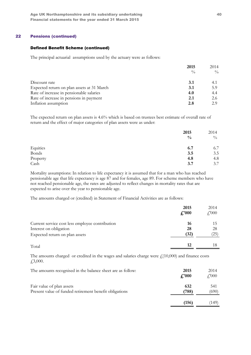## 22 Pensions (continued)

#### Defined Benefit Scheme (continued)

The principal actuarial assumptions used by the actuary were as follows:

|                                            | 2015          | 2014          |
|--------------------------------------------|---------------|---------------|
|                                            | $\frac{0}{0}$ | $\frac{0}{0}$ |
| Discount rate                              | 3.1           | 4.1           |
| Expected return on plan assets at 31 March | 3.1           | 5.9           |
| Rate of increase in pensionable salaries   | 4.0           | 4.4           |
| Rate of increase in pensions in payment    | 2.1           | 2.6           |
| Inflation assumption                       | 2.8           | 29            |

The expected return on plan assets is 4.6% which is based on trustees best estimate of overall rate of return and the effect of major categories of plan assets were as under:

|          | 2015          | 2014          |
|----------|---------------|---------------|
|          | $\frac{0}{0}$ | $\frac{0}{0}$ |
| Equities | 6.7           | 6.7           |
| Bonds    | 3.5           | 3.5           |
| Property | 4.8           | 4.8           |
| Cash     | 3.7           | 3.7           |

Mortality assumptions: In relation to life expectancy it is assumed that for a man who has reached pensionable age that life expectancy is age 87 and for females, age 89. For scheme members who have not reached pensionable age, the rates are adjusted to reflect changes in mortality rates that are expected to arise over the year to pensionable age.

The amounts charged or (credited) in Statement of Financial Activities are as follows:

|                                                 | 2015<br>$f'_0$ 000 | 2014<br>$f'_{1000}$ |
|-------------------------------------------------|--------------------|---------------------|
| Current service cost less employee contribution | 16                 | 15                  |
| Interest on obligation                          | 28                 | 28                  |
| Expected return on plan assets                  | (32)               | (25)                |
| Total                                           | 12                 |                     |

The amounts charged or credited in the wages and salaries charge were  $f(10,000)$  and finance costs £3,000.

| The amounts recognised in the balance sheet are as follow:                          | 2015<br>$\frac{1}{2}$ .000 | 2014<br>$f'_{.}000$ |
|-------------------------------------------------------------------------------------|----------------------------|---------------------|
| Fair value of plan assets<br>Present value of funded retirement benefit obligations | 632<br>(788)               | 541<br>(690)        |
|                                                                                     | (156                       | (149)               |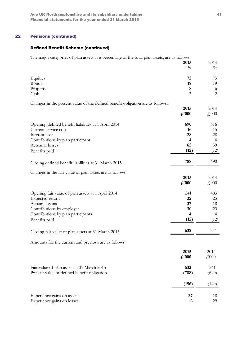# 22 Pensions (continued)

# Defined Benefit Scheme (continued)

The major categories of plan assets as a percentage of the total plan assets, are as follows:

|                                                                                | 2015                    | 2014                      |
|--------------------------------------------------------------------------------|-------------------------|---------------------------|
|                                                                                | $\frac{0}{0}$           | $\frac{0}{0}$             |
| Equities                                                                       | 72                      | 73                        |
| <b>Bonds</b>                                                                   | 18                      | 19                        |
| Property                                                                       | 8                       | 6                         |
| Cash                                                                           | $\overline{2}$          | $\overline{2}$            |
| Changes in the present value of the defined benefit obligation are as follows: |                         |                           |
|                                                                                | 2015                    | 2014                      |
|                                                                                | $\pounds$ '000          | $\textcolor{red}{f}000$   |
|                                                                                |                         |                           |
| Opening defined benefit liabilities at 1 April 2014                            | 690                     | 616                       |
| Current service cost                                                           | 16                      | 15                        |
| Interest cost                                                                  | 28                      | 28                        |
| Contributions by plan participant                                              | $\overline{\mathbf{4}}$ | $\overline{4}$            |
| Actuarial losses                                                               | 62                      | 39                        |
| Benefits paid                                                                  | (12)                    | (12)                      |
|                                                                                | 788                     | 690                       |
| Closing defined benefit liabilities at 31 March 2015                           |                         |                           |
| Changes in the fair value of plan assets are as follows:                       |                         |                           |
|                                                                                | 2015                    | 2014                      |
|                                                                                | $\pounds$ '000          | $\textcolor{red}{f}$ ,000 |
| Opening fair value of plan assets at 1 April 2014                              | 541                     | 483                       |
| Expected return                                                                | 32                      | 25                        |
| Actuarial gains                                                                | 37                      | 18                        |
| Contributions by employer                                                      | 30                      | 23                        |
| Contributions by plan participants                                             | $\overline{4}$          | $\overline{4}$            |
| Benefits paid                                                                  | (12)                    | (12)                      |
|                                                                                | 632                     | 541                       |
| Closing fair value of plan assets at 31 March 2015                             |                         |                           |
| Amounts for the current and previous are as follows:                           |                         |                           |
|                                                                                | 2015                    | 2014                      |
|                                                                                | $\pounds$ '000          | $\textcolor{red}{f}$ ,000 |
|                                                                                |                         |                           |
| Fair value of plan assets at 31 March 2015                                     | 632                     | 541                       |
| Present value of defined benefit obligation                                    | (788)                   | (690)                     |
|                                                                                | (156)                   | (149)                     |
|                                                                                |                         |                           |
| Experience gains on assets                                                     | 37                      | 18                        |
| Experience gains on losses                                                     | $\mathbf{2}$            | 29                        |